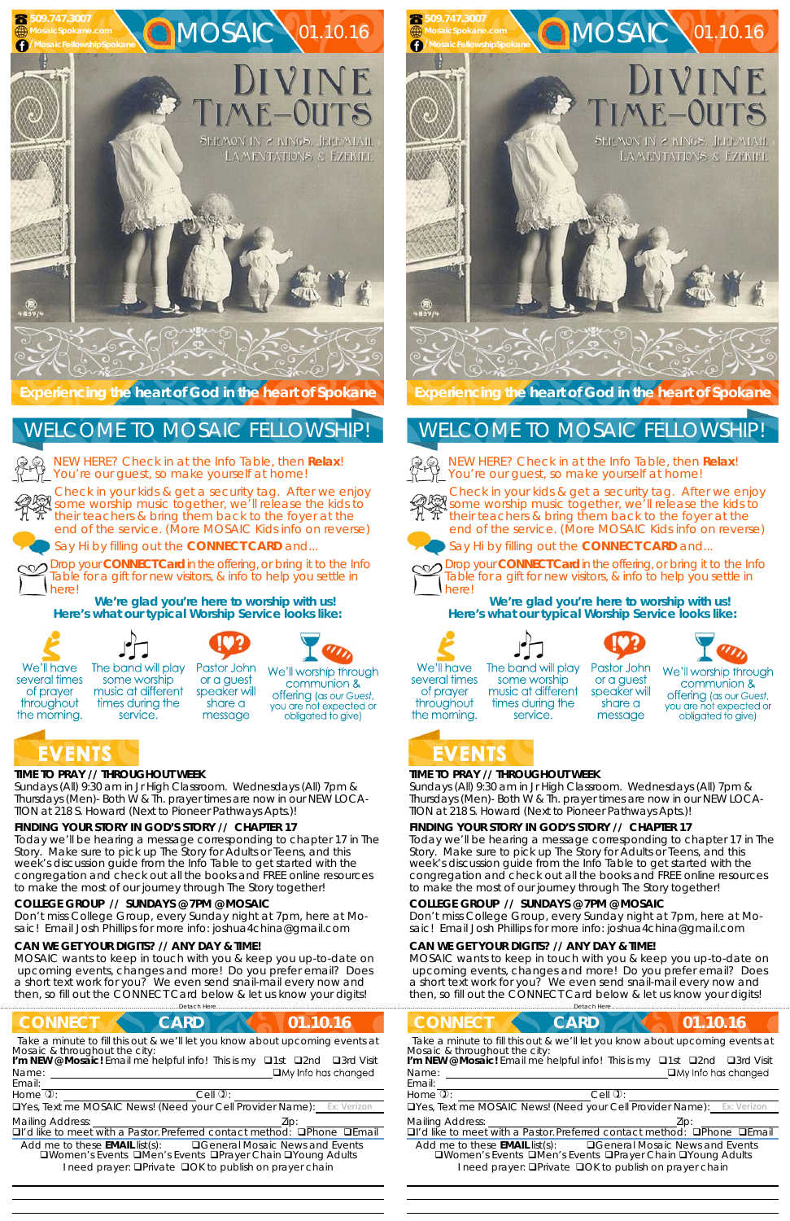# **TIME TO PRAY // THROUGHOUT WEEK**

*Sundays* (All) 9:30 am in Jr High Classroom. *Wednesdays* (All) 7pm & *Thursdays* (Men)- Both W & Th. prayer times are now in our *NEW LOCA-TION at 218 S. Howard* (Next to Pioneer Pathways Apts.)!

# **FINDING YOUR STORY IN GOD'S STORY // CHAPTER 17**

Today we'll be hearing a message corresponding to chapter 17 in The Story. Make sure to pick up The Story for Adults or Teens, and this week's discussion guide from the Info Table to get started with the congregation and check out all the books and FREE online resources to make the most of our journey through The Story together!

The band will play Pastor John some worship or a guest music at different speaker will





# **EVENTS**

#### **COLLEGE GROUP // SUNDAYS @ 7PM @ MOSAIC**

Don't miss College Group, every Sunday night at 7pm, here at Mosaic! Email Josh Phillips for more info: joshua4china@gmail.com

#### **CAN WE GET YOUR DIGITS? // ANY DAY & TIME!**

MOSAIC wants to keep in touch with you & keep you up-to-date on upcoming events, changes and more! Do you prefer email? Does a short text work for you? We even send snail-mail every now and then, so fill out the CONNECT Card below & let us know your digits!



# **EVENTS**

 

# **TIME TO PRAY // THROUGHOUT WEEK**

*Sundays* (All) 9:30 am in Jr High Classroom. *Wednesdays* (All) 7pm & *Thursdays* (Men)- Both W & Th. prayer times are now in our *NEW LOCA-TION at 218 S. Howard* (Next to Pioneer Pathways Apts.)!

## **FINDING YOUR STORY IN GOD'S STORY // CHAPTER 17**

service.

Today we'll be hearing a message corresponding to chapter 17 in The Story. Make sure to pick up The Story for Adults or Teens, and this week's discussion guide from the Info Table to get started with the congregation and check out all the books and FREE online resources to make the most of our journey through The Story together!

| <b>CONNECT</b><br>01.10.16<br><b>CARD</b>                                                                                                                                                                                                                                                                                                   |
|---------------------------------------------------------------------------------------------------------------------------------------------------------------------------------------------------------------------------------------------------------------------------------------------------------------------------------------------|
| Take a minute to fill this out & we'll let you know about upcoming events at<br>Mosaic & throughout the city:<br>I'm NEW @ Mosaic! Email me helpful info! This is my <b>Q1st</b> Q2nd<br>$\Box$ 3rd Visit<br>$\Box$ My Info has changed<br>Name:<br>Email:                                                                                  |
| Home $\overline{v}$ :<br>$Cell$ $\mathbb{Q}$ :                                                                                                                                                                                                                                                                                              |
| □Yes, Text me MOSAIC News! (Need your Cell Provider Name):<br>Ex: Verizon                                                                                                                                                                                                                                                                   |
| <b>Mailing Address:</b><br>$\Box$ I'd like to meet with a Pastor. Preferred contact method: $\Box$ Phone<br>$\Box$ Fmail<br><b>QGeneral Mosaic News and Events</b><br>Add me to these $EMAIL$ list(s):<br><b>QWomen's Events QMen's Events QPrayer Chain QYoung Adults</b><br>I need prayer: <b>OPrivate OOK to publish on prayer chain</b> |
|                                                                                                                                                                                                                                                                                                                                             |

#### **COLLEGE GROUP // SUNDAYS @ 7PM @ MOSAIC**

Don't miss College Group, every Sunday night at 7pm, here at Mosaic! Email Josh Phillips for more info: joshua4china@gmail.com

#### **CAN WE GET YOUR DIGITS? // ANY DAY & TIME!**

MOSAIC wants to keep in touch with you & keep you up-to-date on upcoming events, changes and more! Do you prefer email? Does a short text work for you? We even send snail-mail every now and then, so fill out the CONNECT Card below & let us know your digits!

NEW HERE? Check in at the Info Table, then **Relax**!



Check in your kids & get a security tag. After we enjoy some worship music together, we'll release the kids to their teachers & bring them back to the foyer at the end of the service. (More MOSAIC Kids info on reverse)

MOSAIC 01.10.16

DIVINE

IME-OUTS

SERMON IN 2 KINGS, JEREMIAH.

LAMENTATIONS & EZEKIEL

Say Hi by filling out the **CONNECT CARD** and...

Drop your **CONNECT Card** in the offering, or bring it to the Info Table for a gift for new visitors, & info to help you settle in

message

**We're glad you're here to worship with us! Here's what our typical Worship Service looks like:**